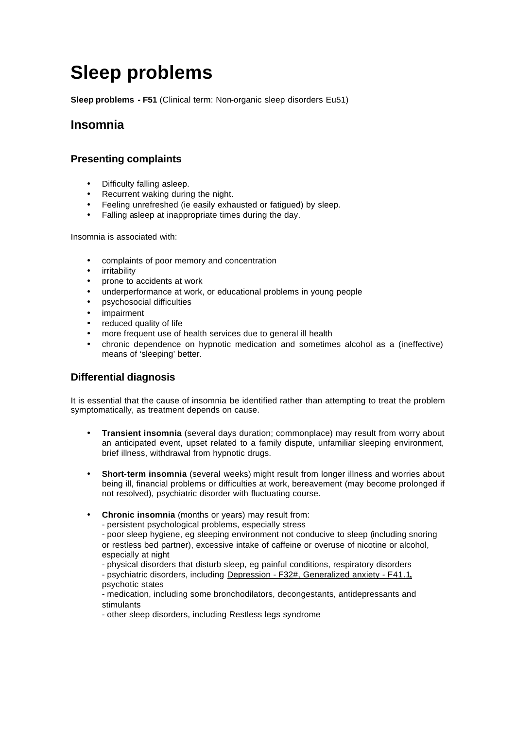# **Sleep problems**

**Sleep problems - F51** (Clinical term: Non-organic sleep disorders Eu51)

# **Insomnia**

## **Presenting complaints**

- Difficulty falling asleep.
- Recurrent waking during the night.
- Feeling unrefreshed (ie easily exhausted or fatigued) by sleep.
- Falling asleep at inappropriate times during the day.

Insomnia is associated with:

- complaints of poor memory and concentration
- irritability
- prone to accidents at work
- underperformance at work, or educational problems in young people
- psychosocial difficulties
- *impairment*
- reduced quality of life
- more frequent use of health services due to general ill health
- chronic dependence on hypnotic medication and sometimes alcohol as a (ineffective) means of 'sleeping' better.

### **Differential diagnosis**

It is essential that the cause of insomnia be identified rather than attempting to treat the problem symptomatically, as treatment depends on cause.

- **Transient insomnia** (several days duration; commonplace) may result from worry about an anticipated event, upset related to a family dispute, unfamiliar sleeping environment, brief illness, withdrawal from hypnotic drugs.
- **Short-term insomnia** (several weeks) might result from longer illness and worries about being ill, financial problems or difficulties at work, bereavement (may become prolonged if not resolved), psychiatric disorder with fluctuating course.
- **Chronic insomnia** (months or years) may result from:
	- persistent psychological problems, especially stress

- poor sleep hygiene, eg sleeping environment not conducive to sleep (including snoring or restless bed partner), excessive intake of caffeine or overuse of nicotine or alcohol, especially at night

- physical disorders that disturb sleep, eg painful conditions, respiratory disorders - psychiatric disorders, including Depression - F32#, Generalized anxiety - F41.1**,** psychotic states

- medication, including some bronchodilators, decongestants, antidepressants and stimulants

- other sleep disorders, including Restless legs syndrome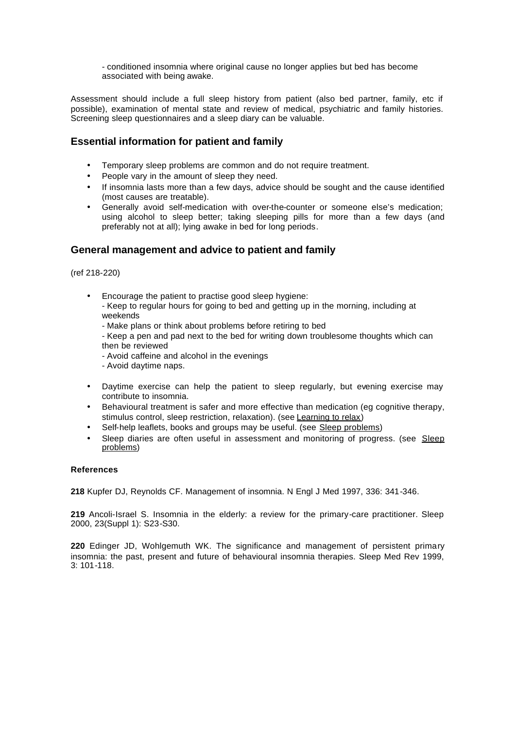- conditioned insomnia where original cause no longer applies but bed has become associated with being awake.

Assessment should include a full sleep history from patient (also bed partner, family, etc if possible), examination of mental state and review of medical, psychiatric and family histories. Screening sleep questionnaires and a sleep diary can be valuable.

### **Essential information for patient and family**

- Temporary sleep problems are common and do not require treatment.
- People vary in the amount of sleep they need.
- If insomnia lasts more than a few days, advice should be sought and the cause identified (most causes are treatable).
- Generally avoid self-medication with over-the-counter or someone else's medication; using alcohol to sleep better; taking sleeping pills for more than a few days (and preferably not at all); lying awake in bed for long periods.

### **General management and advice to patient and family**

(ref 218-220)

• Encourage the patient to practise good sleep hygiene:

- Keep to regular hours for going to bed and getting up in the morning, including at weekends

- Make plans or think about problems before retiring to bed

- Keep a pen and pad next to the bed for writing down troublesome thoughts which can then be reviewed

- Avoid caffeine and alcohol in the evenings
- Avoid daytime naps.
- Daytime exercise can help the patient to sleep regularly, but evening exercise may contribute to insomnia.
- Behavioural treatment is safer and more effective than medication (eg cognitive therapy, stimulus control, sleep restriction, relaxation). (see Learning to relax)
- Self-help leaflets, books and groups may be useful. (see Sleep problems)
- Sleep diaries are often useful in assessment and monitoring of progress. (see Sleep problems)

#### **References**

**218** Kupfer DJ, Reynolds CF. Management of insomnia. N Engl J Med 1997, 336: 341-346.

**219** Ancoli-Israel S. Insomnia in the elderly: a review for the primary-care practitioner. Sleep 2000, 23(Suppl 1): S23-S30.

**220** Edinger JD, Wohlgemuth WK. The significance and management of persistent primary insomnia: the past, present and future of behavioural insomnia therapies. Sleep Med Rev 1999, 3: 101-118.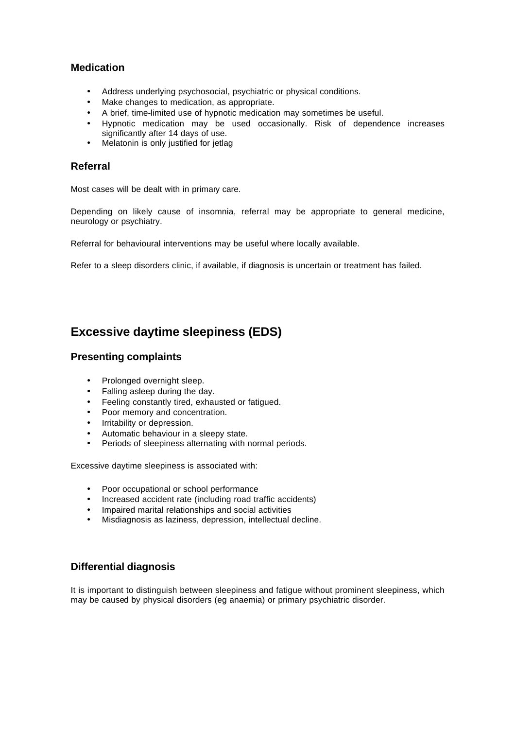### **Medication**

- Address underlying psychosocial, psychiatric or physical conditions.
- Make changes to medication, as appropriate.
- A brief, time-limited use of hypnotic medication may sometimes be useful.
- Hypnotic medication may be used occasionally. Risk of dependence increases significantly after 14 days of use.
- Melatonin is only justified for jetlag

### **Referral**

Most cases will be dealt with in primary care.

Depending on likely cause of insomnia, referral may be appropriate to general medicine, neurology or psychiatry.

Referral for behavioural interventions may be useful where locally available.

Refer to a sleep disorders clinic, if available, if diagnosis is uncertain or treatment has failed.

# **Excessive daytime sleepiness (EDS)**

### **Presenting complaints**

- Prolonged overnight sleep.
- Falling asleep during the day.
- Feeling constantly tired, exhausted or fatigued.
- Poor memory and concentration.
- Irritability or depression.
- Automatic behaviour in a sleepy state.
- Periods of sleepiness alternating with normal periods.

Excessive daytime sleepiness is associated with:

- Poor occupational or school performance
- Increased accident rate (including road traffic accidents)
- Impaired marital relationships and social activities
- Misdiagnosis as laziness, depression, intellectual decline.

### **Differential diagnosis**

It is important to distinguish between sleepiness and fatigue without prominent sleepiness, which may be caused by physical disorders (eg anaemia) or primary psychiatric disorder.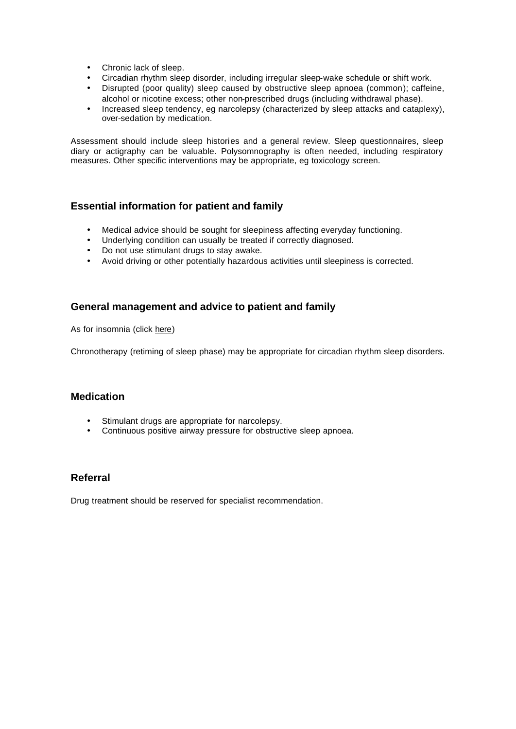- Chronic lack of sleep.
- Circadian rhythm sleep disorder, including irregular sleep-wake schedule or shift work.
- Disrupted (poor quality) sleep caused by obstructive sleep apnoea (common); caffeine, alcohol or nicotine excess; other non-prescribed drugs (including withdrawal phase).
- Increased sleep tendency, eg narcolepsy (characterized by sleep attacks and cataplexy), over-sedation by medication.

Assessment should include sleep histories and a general review. Sleep questionnaires, sleep diary or actigraphy can be valuable. Polysomnography is often needed, including respiratory measures. Other specific interventions may be appropriate, eg toxicology screen.

### **Essential information for patient and family**

- Medical advice should be sought for sleepiness affecting everyday functioning.
- Underlying condition can usually be treated if correctly diagnosed.
- Do not use stimulant drugs to stay awake.
- Avoid driving or other potentially hazardous activities until sleepiness is corrected.

### **General management and advice to patient and family**

As for insomnia (click here)

Chronotherapy (retiming of sleep phase) may be appropriate for circadian rhythm sleep disorders.

### **Medication**

- Stimulant drugs are appropriate for narcolepsy.
- Continuous positive airway pressure for obstructive sleep apnoea.

### **Referral**

Drug treatment should be reserved for specialist recommendation.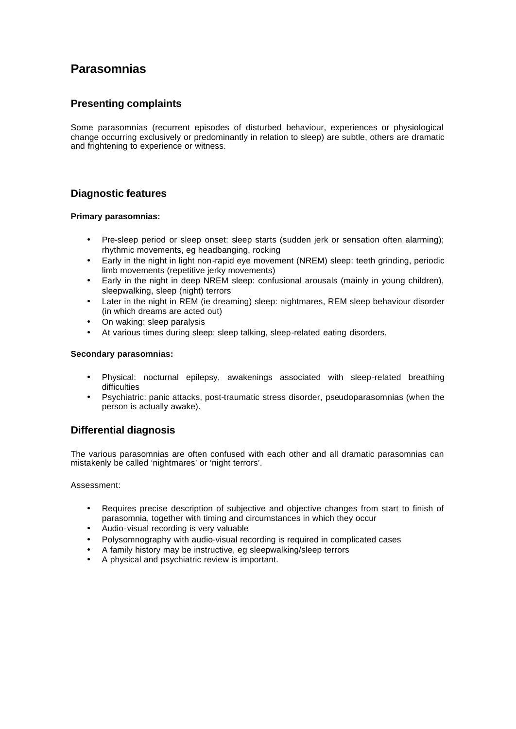# **Parasomnias**

### **Presenting complaints**

Some parasomnias (recurrent episodes of disturbed behaviour, experiences or physiological change occurring exclusively or predominantly in relation to sleep) are subtle, others are dramatic and frightening to experience or witness.

### **Diagnostic features**

#### **Primary parasomnias:**

- Pre-sleep period or sleep onset: sleep starts (sudden jerk or sensation often alarming); rhythmic movements, eg headbanging, rocking
- Early in the night in light non-rapid eye movement (NREM) sleep: teeth grinding, periodic limb movements (repetitive jerky movements)
- Early in the night in deep NREM sleep: confusional arousals (mainly in young children), sleepwalking, sleep (night) terrors
- Later in the night in REM (ie dreaming) sleep: nightmares, REM sleep behaviour disorder (in which dreams are acted out)
- On waking: sleep paralysis
- At various times during sleep: sleep talking, sleep-related eating disorders.

#### **Secondary parasomnias:**

- Physical: nocturnal epilepsy, awakenings associated with sleep-related breathing difficulties
- Psychiatric: panic attacks, post-traumatic stress disorder, pseudoparasomnias (when the person is actually awake).

### **Differential diagnosis**

The various parasomnias are often confused with each other and all dramatic parasomnias can mistakenly be called 'nightmares' or 'night terrors'.

Assessment:

- Requires precise description of subjective and objective changes from start to finish of parasomnia, together with timing and circumstances in which they occur
- Audio-visual recording is very valuable
- Polysomnography with audio-visual recording is required in complicated cases
- A family history may be instructive, eg sleepwalking/sleep terrors
- A physical and psychiatric review is important.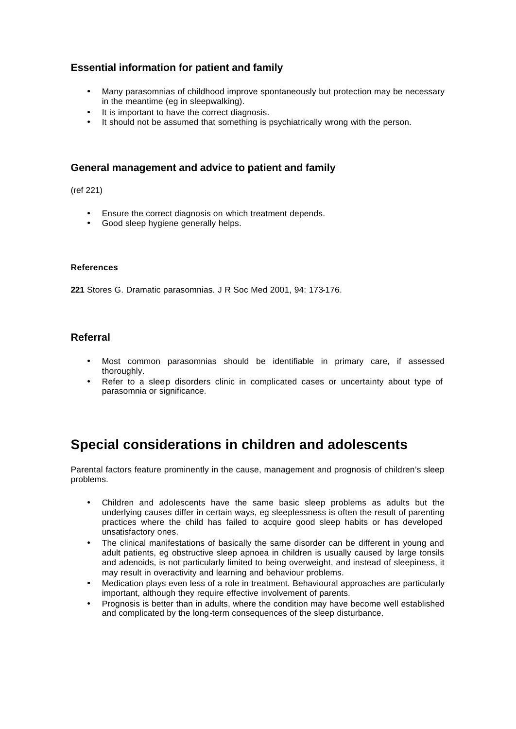### **Essential information for patient and family**

- Many parasomnias of childhood improve spontaneously but protection may be necessary in the meantime (eg in sleepwalking).
- It is important to have the correct diagnosis.
- It should not be assumed that something is psychiatrically wrong with the person.

### **General management and advice to patient and family**

(ref 221)

- Ensure the correct diagnosis on which treatment depends.
- Good sleep hygiene generally helps.

#### **References**

**221** Stores G. Dramatic parasomnias. J R Soc Med 2001, 94: 173-176.

### **Referral**

- Most common parasomnias should be identifiable in primary care, if assessed thoroughly.
- Refer to a sleep disorders clinic in complicated cases or uncertainty about type of parasomnia or significance.

# **Special considerations in children and adolescents**

Parental factors feature prominently in the cause, management and prognosis of children's sleep problems.

- Children and adolescents have the same basic sleep problems as adults but the underlying causes differ in certain ways, eg sleeplessness is often the result of parenting practices where the child has failed to acquire good sleep habits or has developed unsatisfactory ones.
- The clinical manifestations of basically the same disorder can be different in young and adult patients, eg obstructive sleep apnoea in children is usually caused by large tonsils and adenoids, is not particularly limited to being overweight, and instead of sleepiness, it may result in overactivity and learning and behaviour problems.
- Medication plays even less of a role in treatment. Behavioural approaches are particularly important, although they require effective involvement of parents.
- Prognosis is better than in adults, where the condition may have become well established and complicated by the long-term consequences of the sleep disturbance.